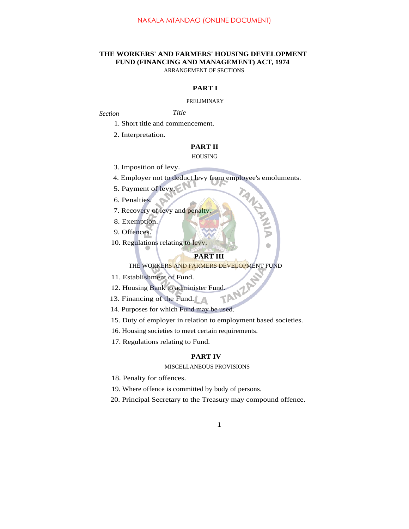# **THE WORKERS' AND FARMERS' HOUSING DEVELOPMENT FUND (FINANCING AND MANAGEMENT) ACT, 1974**

ARRANGEMENT OF SECTIONS

# **PART I**

#### PRELIMINARY

# *Section Title*

1. Short title and commencement.

2. Interpretation.

# **PART II**

#### HOUSING

- 3. Imposition of levy.
- 4. Employer not to deduct levy from employee's emoluments.
- 5. Payment of levy.
- 6. Penalties.
- 7. Recovery of levy and penalty.
- 8. Exemption.
- 9. Offences.
- 10. Regulations relating to levy.

## **PART III**

## THE WORKERS AND FARMERS DEVELOPMENT FUND

- 11. Establishment of Fund.
- 12. Housing Bank to administer Fund.<br>13. Financing of the Fund.
- 13. Financing of the Fund.
- 14. Purposes for which Fund may be used.
- 15. Duty of employer in relation to employment based societies.
- 16. Housing societies to meet certain requirements.
- 17. Regulations relating to Fund.

## **PART IV**

#### MISCELLANEOUS PROVISIONS

- 18. Penalty for offences.
- 19. Where offence is committed by body of persons.
- 20. Principal Secretary to the Treasury may compound offence.

#### 1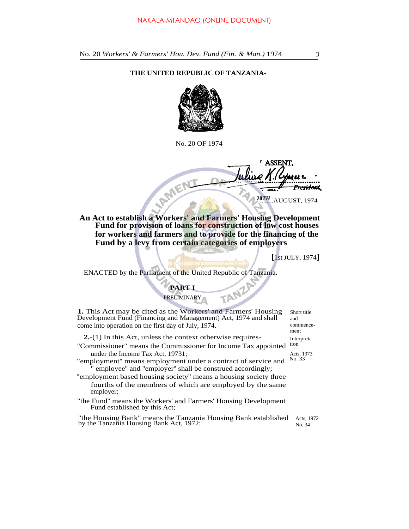No. 20 *Workers' & Farmers' Hou. Dev. Fund (Fin. & Man.)* 1974 3

#### **THE UNITED REPUBLIC OF TANZANIA-**



No. 20 OF 1974

**ASSENT** FIVE <del>esidon</del>t 20TH...AUGUST, 1974

**An Act to establish a Workers' and Farmers' Housing Development Fund for provision of loans for construction of low cost houses for workers and farmers and to provide for the financing of the Fund by a levy from certain categories of employers**

**[**1st JULY, 1974**]**

ENACTED by the Parliament of the United Republic of Tanzania.

# **PART I PRELIMINARY**

**1.** This Act may be cited as the Workers' and Farmers' Housing Development Fund (Financing and Management) Act, 1974 and shall come into operation on the first day of July, 1974. Short title

2.-(1) In this Act, unless the context otherwise requires-<br>Commissioner" means the Commissioner for Income Tax appointed tion

- "Commissioner" means the Commissioner for Income Tax appointed under the Income Tax Act, 19731;
- "employment" means employment under a contract of service and No. 33 " employee'' and ''employer'' shall be construed accordingly;
- "employment based housing society'' means a housing society three fourths of the members of which are employed by the same employer;
- "the Fund'' means the Workers' and Farmers' Housing Development Fund established by this Act;

"the Housing Bank" means the Tanzania Housing Bank established Acts, 1972 by the Tanzania Housing Bank Act, 1972: No. 34

and commencement

Acts, 1973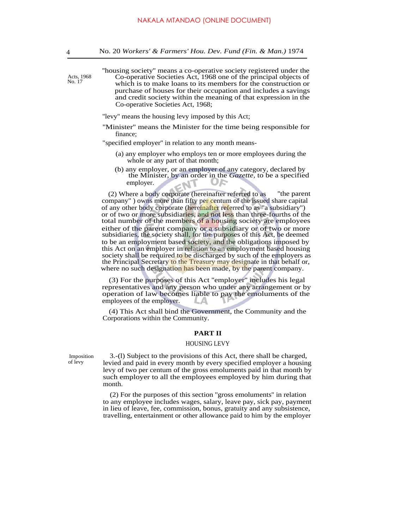''housing society'' means a co-operative society registered under the Co-operative Societies Act, 1968 one of the principal objects of which is to make loans to its members for the construction or purchase of houses for their occupation and includes a savings and credit society within the meaning of that expression in the Co-operative Societies Act, 1968;

''levy'' means the housing levy imposed by this Act;

''Minister'' means the Minister for the time being responsible for finance;

"specified employer'' in relation to any month means-

- (a) any employer who employs ten or more employees during the whole or any part of that month;
- (b) any employer, or an employer of any category, declared by the Minister, by an order in the *Gazette,* to be a specified employer. 11 ,,,

(2) Where a body corporate (hereinafter referred to as ''the parent company") owns more than fifty per centum of the issued share capital of any other body corporate (hereinafter referred to as "a subsidiary") or of two or more subsidiaries, and not less than three-fourths of the total number of the members of a housing society are employees either of the parent company or a subsidiary or of two or more subsidiaries, the society shall, for the purposes of this Act, be deemed to be an employment based society, and the obligations imposed by this Act on an employer in relation to an employment based housing society shall be required to be discharged by such of the employers as the Principal Secretary to the Treasury may designate in that behalf or, where no such designation has been made, by the parent company.

(3) For the purposes of this Act ''employer'' includes his legal representatives and any person who under any arrangement or by operation of law becomes liable to pay the emoluments of the employees of the employer.

(4) This Act shall bind the Government, the Community and the Corporations within the Community.

### **PART II**

#### HOUSING LEVY

Imposition of levy

3.-(l) Subject to the provisions of this Act, there shall be charged, levied and paid in every month by every specified employer a housing levy of two per centum of the gross emoluments paid in that month by such employer to all the employees employed by him during that month.

(2) For the purposes of this section ''gross emoluments'' in relation to any employee includes wages, salary, leave pay, sick pay, payment in lieu of leave, fee, commission, bonus, gratuity and any subsistence, travelling, entertainment or other allowance paid to him by the employer

Acts, 1968 No. 17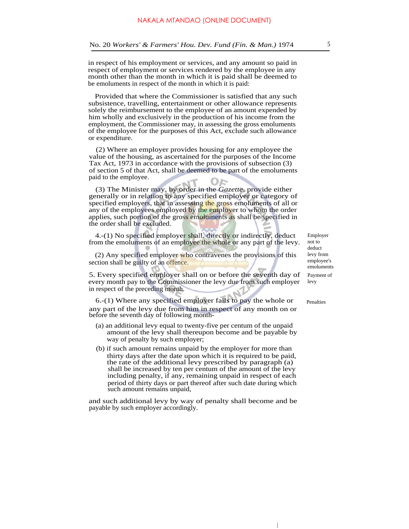in respect of his employment or services, and any amount so paid in respect of employment or services rendered by the employee in any month other than the month in which it is paid shall be deemed to be emoluments in respect of the month in which it is paid:

Provided that where the Commissioner is satisfied that any such subsistence, travelling, entertainment or other allowance represents solely the reimbursement to the employee of an amount expended by him wholly and exclusively in the production of his income from the employment, the Commissioner may, in assessing the gross emoluments of the employee for the purposes of this Act, exclude such allowance or expenditure.

(2) Where an employer provides housing for any employee the value of the housing, as ascertained for the purposes of the Income Tax Act, 1973 in accordance with the provisions of subsection (3) of section 5 of that Act, shall be deemed to be part of the emoluments paid to the employee.

(3) The Minister may, by order in the *Gazette,* provide either generally or in relation to any specified employer or category of specified employers, that in assessing the gross emoluments of all or any of the employees employed by the employer to whom the order applies, such portion of the gross emoluments as shall be specified in the order shall be excluded.

4.-(1) No specified employer shall, directly or indirectly, deduct from the emoluments of an employee the whole or any part of the levy.

(2) Any specified employer who contravenes the provisions of this section shall be guilty of an offence.

5. Every specified employer shall on or before the seventh day of every month pay to the Commissioner the levy due from such employer in respect of the preceding month.

6.-(1) Where any specified employer fails to pay the whole or any part of the levy due from him in respect of any month on or before the seventh day of following month-

- (a) an additional levy equal to twenty-five per centum of the unpaid amount of the levy shall thereupon become and be payable by way of penalty by such employer;
- (b) if such amount remains unpaid by the employer for more than thirty days after the date upon which it is required to be paid, the rate of the additional levy prescribed by paragraph (a) shall be increased by ten per centum of the amount of the levy including penalty, if any, remaining unpaid in respect of each period of thirty days or part thereof after such date during which such amount remains unpaid,

and such additional levy by way of penalty shall become and be payable by such employer accordingly.

Employer not to deduct levy from employee's emoluments Payment of levy

Penalties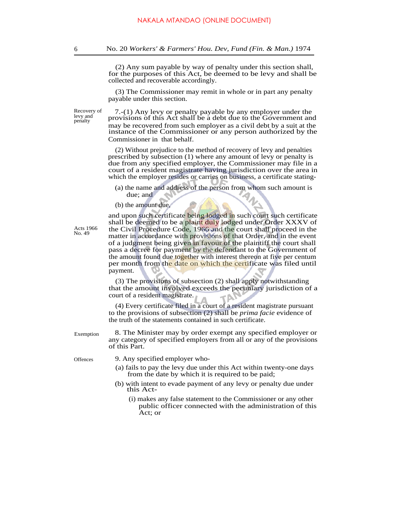(2) Any sum payable by way of penalty under this section shall, for the purposes of this Act, be deemed to be levy and shall be collected and recoverable accordingly.

(3) The Commissioner may remit in whole or in part any penalty payable under this section.

Recovery of levy and penalty

7.-(1) Any levy or penalty payable by any employer under the provisions of this Act shall be a debt due to the Government and may be recovered from such employer as a civil debt by a suit at the instance of the Commissioner or any person authorized by the Commissioner in that behalf.

(2) Without prejudice to the method of recovery of levy and penalties prescribed by subsection (1) where any amount of levy or penalty is due from any specified employer, the Commissioner may file in a court of a resident magistrate having jurisdiction over the area in which the employer resides or carries on business, a certificate stating-

- (a) the name and address of the person from whom such amount is due; and
- (b) the amount due,

Acts 1966 No. 49

and upon such certificate being lodged in such court such certificate shall be deemed to be a plaint duly lodged under Order XXXV of the Civil Procedure Code, 1966 and the court shall proceed in the matter in accordance with provisions of that Order, and in the event of a judgment being given in favour of the plaintiff the court shall pass a decree for payment by the defendant to the Government of the amount found due together with interest thereon at five per centum per month from the date on which the certificate was filed until payment.

(3) The provisions of subsection (2) shall apply notwithstanding that the amount involved exceeds the pecuniary jurisdiction of a court of a resident magistrate.

(4) Every certificate filed in a court of a resident magistrate pursuant to the provisions of subsection (2) shall be *prima facie* evidence of the truth of the statements contained in such certificate.

8. The Minister may by order exempt any specified employer or any category of specified employers from all or any of the provisions of this Part.

Exemption

- Offences 9. Any specified employer who-
	- (a) fails to pay the levy due under this Act within twenty-one days from the date by which it is required to be paid;
	- (b) with intent to evade payment of any levy or penalty due under this Act-
		- (i) makes any false statement to the Commissioner or any other public officer connected with the administration of this Act; or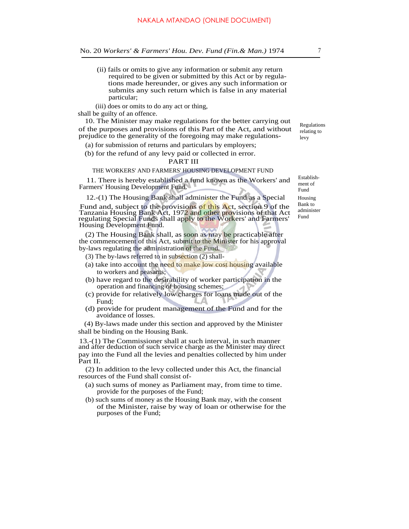- (ii) fails or omits to give any information or submit any return required to be given or submitted by this Act or by regulations made hereunder, or gives any such information or submits any such return which is false in any material particular;
- (iii) does or omits to do any act or thing,

shall be guilty of an offence.

10. The Minister may make regulations for the better carrying out of the purposes and provisions of this Part of the Act, and without prejudice to the generality of the foregoing may make regulations-

(a) for submission of returns and particulars by employers;

(b) for the refund of any levy paid or collected in error.

#### PART III

## THE WORKERS' AND FARMERS' HOUSING DEVELOPMENT FUND

11. There is hereby established a fund known as the Workers' and Farmers' Housing Development Fund.

12.-(1) The Housing Bank shall administer the Fund as a Special

Fund and, subject to the provisions of this Act, section 9 of the Tanzania Housing Bank Act, 1972 and other provisions of that Act regulating Special Funds shall apply to the Workers' and Farmers' Housing Development Fund.

(2) The Housing Bank shall, as soon as may be practicable after the commencement of this Act, submit to the Minister for his approval by-laws regulating the administration of the Fund.

- (3) The by-laws referred to in subsection  $(2)$  shall-
- (a) take into account the need to make low cost housing available to workers and peasants;
- (b) have regard to the desirability of worker participation in the operation and financing of housing schemes;
- (c) provide for relatively low charges for loans made out of the Fund;
- (d) provide for prudent management of the Fund and for the avoidance of losses.

(4) By-laws made under this section and approved by the Minister shall be binding on the Housing Bank.

13.-(1) The Commissioner shall at such interval, in such manner and after deduction of such service charge as the Minister may direct pay into the Fund all the levies and penalties collected by him under Part II.

(2) In addition to the levy collected under this Act, the financial resources of the Fund shall consist of-

- (a) such sums of money as Parliament may, from time to time. provide for the purposes of the Fund;
- (b) such sums of money as the Housing Bank may, with the consent of the Minister, raise by way of loan or otherwise for the purposes of the Fund;

Establishment of Fund Housing Bank to

administer Fund

Regulations relating to levy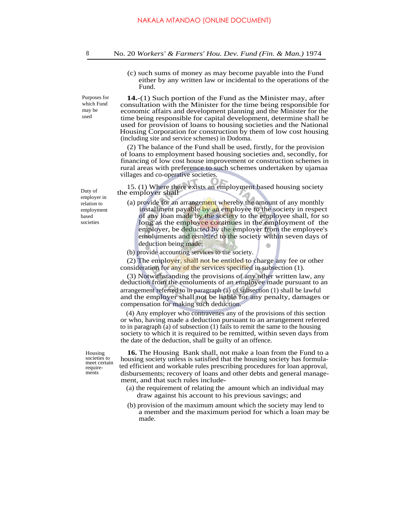(c) such sums of money as may become payable into the Fund either by any written law or incidental to the operations of the Fund.

Purposes for which Fund may be used

**14.**-(1) Such portion of the Fund as the Minister may, after consultation with the Minister for the time being responsible for economic affairs and development planning and the Minister for the time being responsible for capital development, determine shall be used for provision of loans to housing societies and the National Housing Corporation for construction by them of low cost housing (including site and service schemes) in Dodoma.

(2) The balance of the Fund shall be used, firstly, for the provision of loans to employment based housing societies and, secondly, for financing of low cost house improvement or construction schemes in rural areas with preference to such schemes undertaken by ujamaa villages and co-operative societies.

15. (1) Where there exists an employment based housing society the employer shall

(a) provide for an arrangement whereby the amount of any monthly installment payable by an employee to the society in respect of any loan made by the society to the employee shall, for so long as the employee continues in the employment of the employer, be deducted by the employer from the employee's emoluments and remitted to the society within seven days of deduction being made;

(b) provide accounting services to the society.

(2) The employer, shall not be entitled to charge any fee or other consideration for any of the services specified in subsection (1).

(3) Notwithstanding the provisions of any other written law, any deduction from the emoluments of an employee made pursuant to an arrangement referred to in paragraph (a) of subsection (1) shall be lawful and the employer shall not be liable for any penalty, damages or compensation for making such deduction.

(4) Any employer who contravenes any of the provisions of this section or who, having made a deduction pursuant to an arrangement referred to in paragraph (a) of subsection (1) fails to remit the same to the housing society to which it is required to be remitted, within seven days from the date of the deduction, shall be guilty of an offence.

Housing **16.** The Housing Bank shall, not make a loan from the Fund to a housing society unless is satisfied that the housing society has formulated efficient and workable rules prescribing procedures for loan approval, disbursements; recovery of loans and other debts and general management, and that such rules include-

- (a) the requirement of relating the amount which an individual may draw against his account to his previous savings; and
- (b) provision of the maximum amount which the society may lend to a member and the maximum period for which a loan may be made.

Duty of employer in relation to employment based societies

> meet certain requirements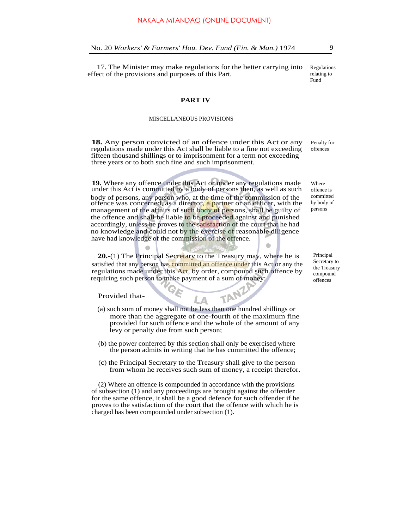17. The Minister may make regulations for the better carrying into effect of the provisions and purposes of this Part.

Regulations relating to Fund

#### **PART IV**

#### MISCELLANEOUS PROVISIONS

**18.** Any person convicted of an offence under this Act or any regulations made under this Act shall be liable to a fine not exceeding fifteen thousand shillings or to imprisonment for a term not exceeding three years or to both such fine and such imprisonment. Penalty for offences

**19.** Where any offence under this Act or under any regulations made under this Act is committed by a body of persons then, as well as such body of persons, any person who, at the time of the commission of the offence was concerned, as a director, a partner or an officer, with the management of the affairs of such body of persons, shall be guilty of the offence and shall be liable to be proceeded against and punished accordingly, unless he proves to the satisfaction of the court that he had no knowledge and could not by the exercise of reasonable diligence have had knowledge of the commission of the offence.

**20.**-(1) The Principal Secretary to the Treasury may, where he is satisfied that any person has committed an offence under this Act or any the regulations made under this Act, by order, compound such offence by requiring such person to make payment of a sum of money:

Provided that-

(a) such sum of money shall not be less than one hundred shillings or more than the aggregate of one-fourth of the maximum fine provided for such offence and the whole of the amount of any levy or penalty due from such person;

Δ

TANZ

- (b) the power conferred by this section shall only be exercised where the person admits in writing that he has committed the offence;
- (c) the Principal Secretary to the Treasury shall give to the person from whom he receives such sum of money, a receipt therefor.

(2) Where an offence is compounded in accordance with the provisions of subsection (1) and any proceedings are brought against the offender for the same offence, it shall be a good defence for such offender if he proves to the satisfaction of the court that the offence with which he is charged has been compounded under subsection (1).

Where offence is committed by body of persons

Principal Secretary to the Treasury compound offences